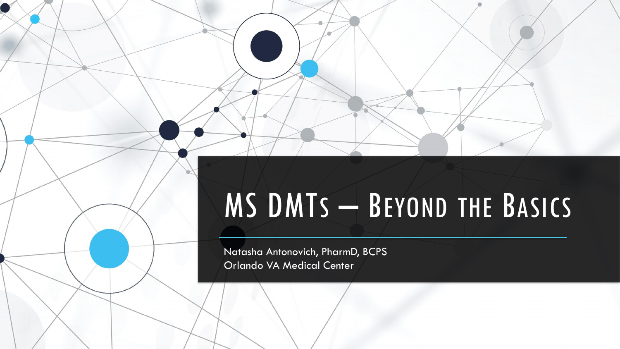# MS DMTs - BEYOND THE BASICS

Natasha Antonovich, PharmD, BCPS Orlando VA Medical Center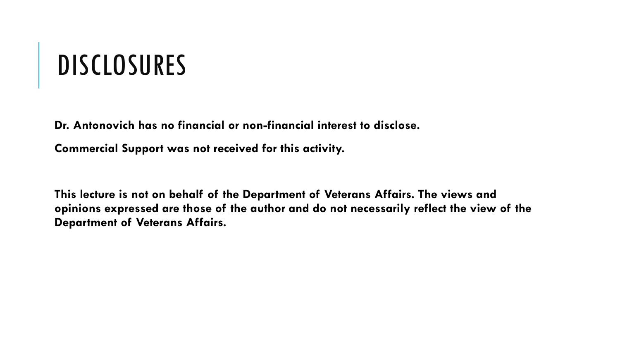# DISCLOSURES

**Dr. Antonovich has no financial or non-financial interest to disclose.**

**Commercial Support was not received for this activity.** 

**This lecture is not on behalf of the Department of Veterans Affairs. The views and opinions expressed are those of the author and do not necessarily reflect the view of the Department of Veterans Affairs.**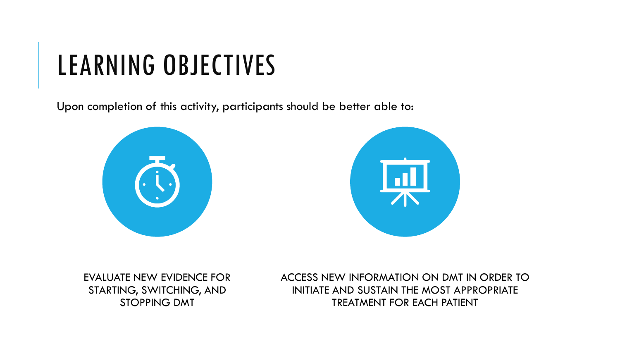# LEARNING OBJECTIVES

Upon completion of this activity, participants should be better able to:





EVALUATE NEW EVIDENCE FOR STARTING, SWITCHING, AND STOPPING DMT

ACCESS NEW INFORMATION ON DMT IN ORDER TO INITIATE AND SUSTAIN THE MOST APPROPRIATE TREATMENT FOR EACH PATIENT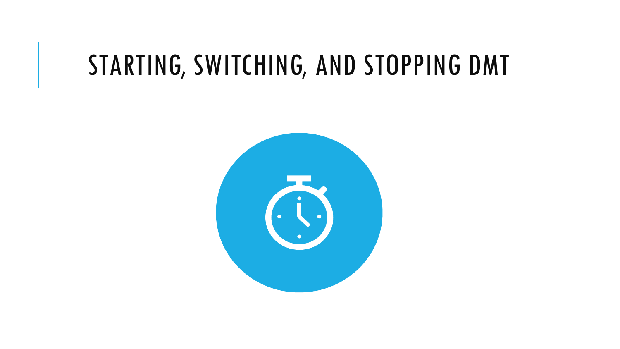#### STARTING, SWITCHING, AND STOPPING DMT

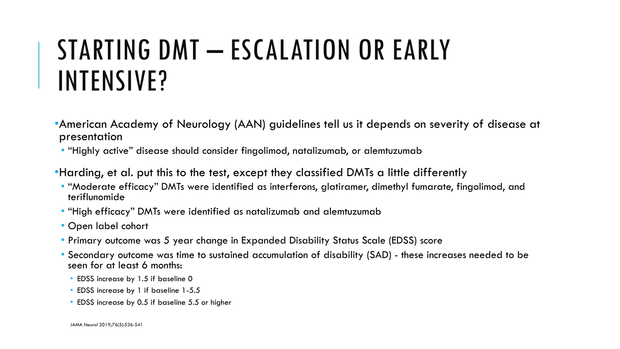## STARTING DMT – ESCALATION OR EARLY INTENSIVE?

- •American Academy of Neurology (AAN) guidelines tell us it depends on severity of disease at presentation
- "Highly active" disease should consider fingolimod, natalizumab, or alemtuzumab
- •Harding, et al. put this to the test, except they classified DMTs a little differently
	- "Moderate efficacy" DMTs were identified as interferons, glatiramer, dimethyl fumarate, fingolimod, and teriflunomide
	- "High efficacy" DMTs were identified as natalizumab and alemtuzumab
	- Open label cohort
	- Primary outcome was 5 year change in Expanded Disability Status Scale (EDSS) score
	- Secondary outcome was time to sustained accumulation of disability (SAD) these increases needed to be seen for at least 6 months:
		- EDSS increase by 1.5 if baseline 0
		- EDSS increase by 1 if baseline 1-5.5
		- EDSS increase by 0.5 if baseline 5.5 or higher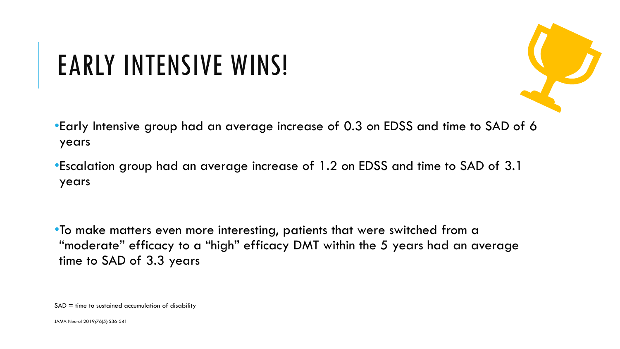# EARLY INTENSIVE WINS!



- •Early Intensive group had an average increase of 0.3 on EDSS and time to SAD of 6 years
- •Escalation group had an average increase of 1.2 on EDSS and time to SAD of 3.1 years

•To make matters even more interesting, patients that were switched from a "moderate" efficacy to a "high" efficacy DMT within the 5 years had an average time to SAD of 3.3 years

 $SAD =$  time to sustained accumulation of disability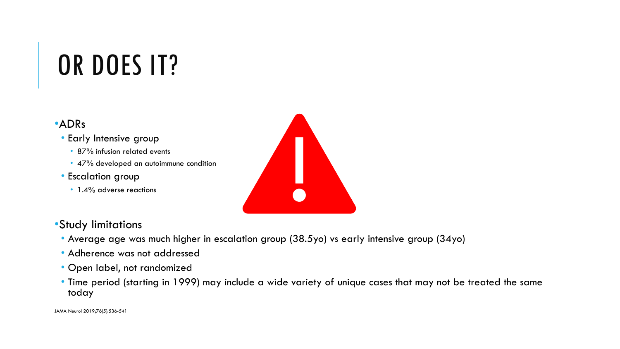# OR DOES IT?

#### •ADRs

- Early Intensive group
	- 87% infusion related events
	- 47% developed an autoimmune condition
- Escalation group
	- 1.4% adverse reactions
- •Study limitations
	- Average age was much higher in escalation group (38.5yo) vs early intensive group (34yo)
	- Adherence was not addressed
	- Open label, not randomized
	- Time period (starting in 1999) may include a wide variety of unique cases that may not be treated the same today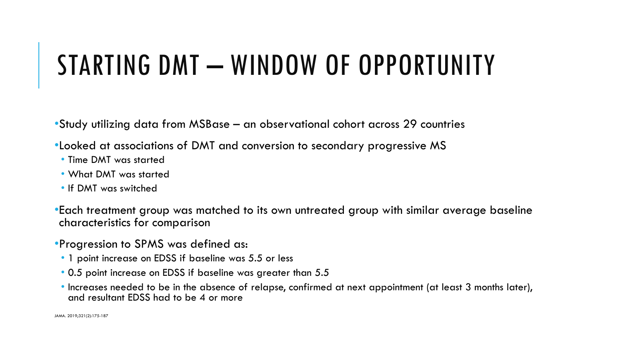# STARTING DMT – WINDOW OF OPPORTUNITY

•Study utilizing data from MSBase – an observational cohort across 29 countries

- •Looked at associations of DMT and conversion to secondary progressive MS
	- Time DMT was started
	- What DMT was started
	- If DMT was switched

•Each treatment group was matched to its own untreated group with similar average baseline characteristics for comparison

- •Progression to SPMS was defined as:
	- 1 point increase on EDSS if baseline was 5.5 or less
	- 0.5 point increase on EDSS if baseline was greater than 5.5
	- Increases needed to be in the absence of relapse, confirmed at next appointment (at least 3 months later), and resultant EDSS had to be 4 or more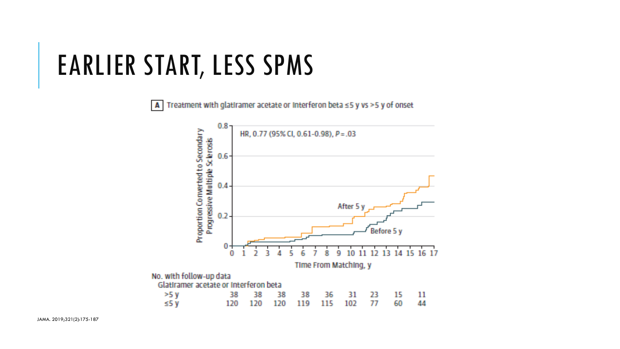### EARLIER START, LESS SPMS

Treatment with glatiramer acetate or interferon beta  $\leq$  5 y vs > 5 y of onset A

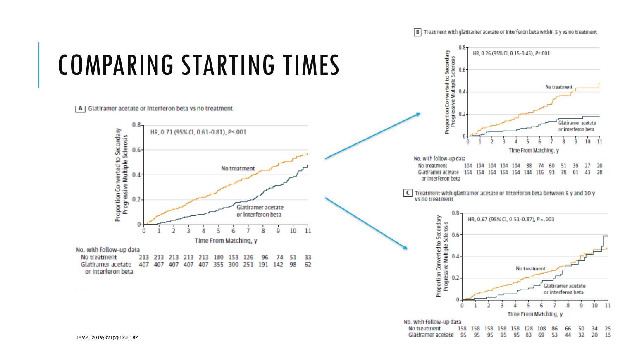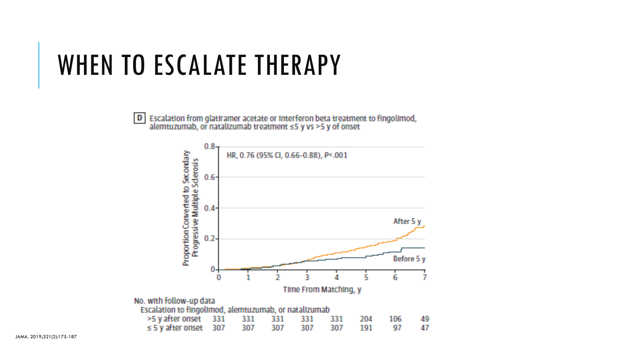### WHEN TO ESCALATE THERAPY

Escalation from glatiramer acetate or interferon beta treatment to fingolimod, alemtuzumab, or natalizumab treatment ≤5 y vs >5 y of onset  $|1\rangle$ 

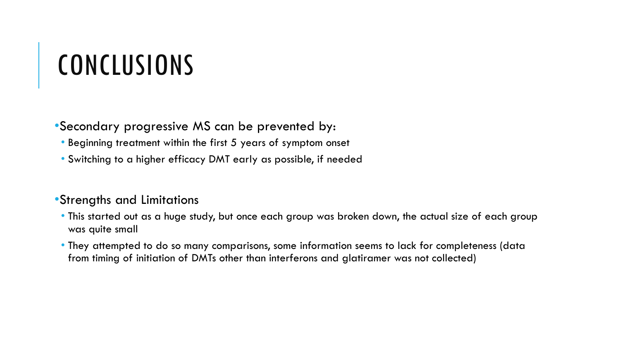# CONCLUSIONS

#### •Secondary progressive MS can be prevented by:

- Beginning treatment within the first 5 years of symptom onset
- Switching to a higher efficacy DMT early as possible, if needed

#### •Strengths and Limitations

- This started out as a huge study, but once each group was broken down, the actual size of each group was quite small
- They attempted to do so many comparisons, some information seems to lack for completeness (data from timing of initiation of DMTs other than interferons and glatiramer was not collected)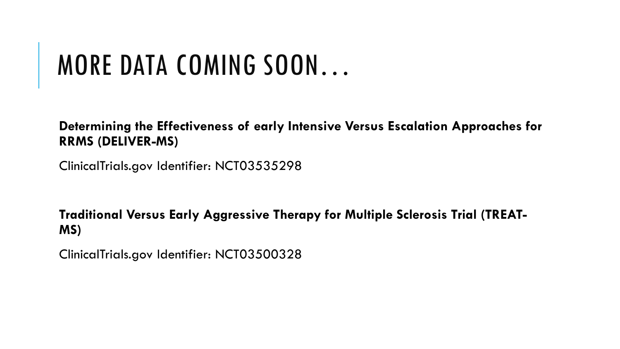## MORE DATA COMING SOON…

**Determining the Effectiveness of early Intensive Versus Escalation Approaches for RRMS (DELIVER-MS)**

ClinicalTrials.gov Identifier: NCT03535298

**Traditional Versus Early Aggressive Therapy for Multiple Sclerosis Trial (TREAT-MS)**

ClinicalTrials.gov Identifier: NCT03500328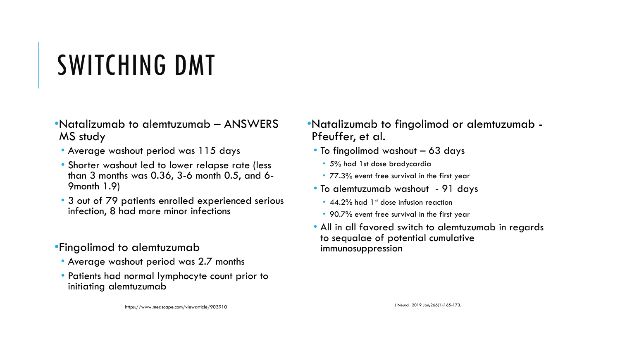# SWITCHING DMT

- •Natalizumab to alemtuzumab ANSWERS MS study
	- Average washout period was 115 days
	- Shorter washout led to lower relapse rate (less than 3 months was 0.36, 3-6 month 0.5, and 6- 9month 1.9)
	- 3 out of 79 patients enrolled experienced serious infection, 8 had more minor infections
- •Fingolimod to alemtuzumab
	- Average washout period was 2.7 months
	- Patients had normal lymphocyte count prior to initiating alemtuzumab
- •Natalizumab to fingolimod or alemtuzumab Pfeuffer, et al.
	- To fingolimod washout 63 days
		- 5% had 1st dose bradycardia
		- 77.3% event free survival in the first year
	- To alemtuzumab washout 91 days
		- 44.2% had  $1<sup>st</sup>$  dose infusion reaction
		- 90.7% event free survival in the first year
	- All in all favored switch to alemtuzumab in regards to sequalae of potential cumulative immunosuppression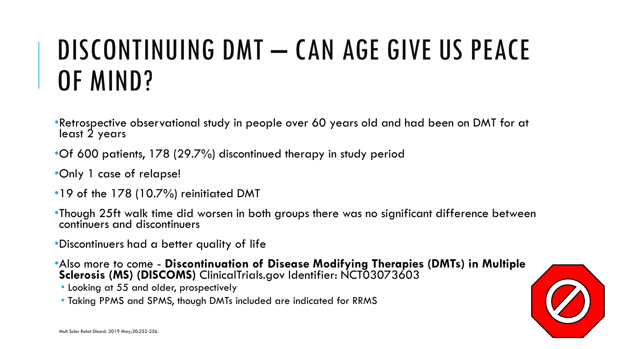# DISCONTINUING DMT – CAN AGE GIVE US PEACE OF MIND?

- •Retrospective observational study in people over 60 years old and had been on DMT for at least 2 years
- •Of 600 patients, 178 (29.7%) discontinued therapy in study period
- •Only 1 case of relapse!
- •19 of the 178 (10.7%) reinitiated DMT
- •Though 25ft walk time did worsen in both groups there was no significant difference between continuers and discontinuers
- •Discontinuers had a better quality of life
- •Also more to come **Discontinuation of Disease Modifying Therapies (DMTs) in Multiple Sclerosis (MS) (DISCOMS)** ClinicalTrials.gov Identifier: NCT03073603
- Looking at 55 and older, prospectively
- Taking PPMS and SPMS, though DMTs included are indicated for RRMS

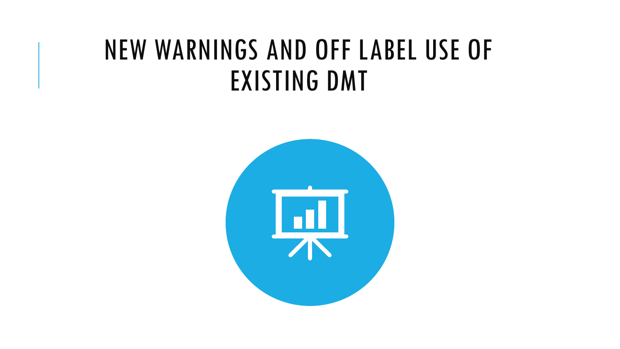### NEW WARNINGS AND OFF LABEL USE OF EXISTING DMT

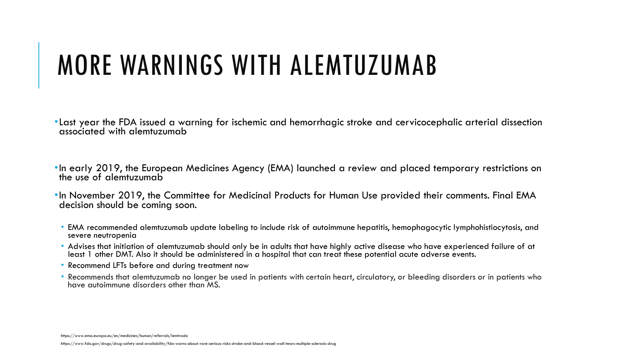## MORE WARNINGS WITH ALEMTUZUMAB

•Last year the FDA issued a warning for ischemic and hemorrhagic stroke and cervicocephalic arterial dissection associated with alemtuzumab

•In early 2019, the European Medicines Agency (EMA) launched a review and placed temporary restrictions on the use of alemtuzumab

•In November 2019, the Committee for Medicinal Products for Human Use provided their comments. Final EMA decision should be coming soon.

- EMA recommended alemtuzumab update labeling to include risk of autoimmune hepatitis, hemophagocytic lymphohistiocytosis, and severe neutropenia
- Advises that initiation of alemtuzumab should only be in adults that have highly active disease who have experienced failure of at least 1 other DMT. Also it should be administered in a hospital that can treat these potential acute adverse events.
- Recommend LFTs before and during treatment now
- Recommends that alemtuzumab no longer be used in patients with certain heart, circulatory, or bleeding disorders or in patients who have autoimmune disorders other than MS.

https://www.ema.europa.eu/en/medicines/human/referrals/lemtrada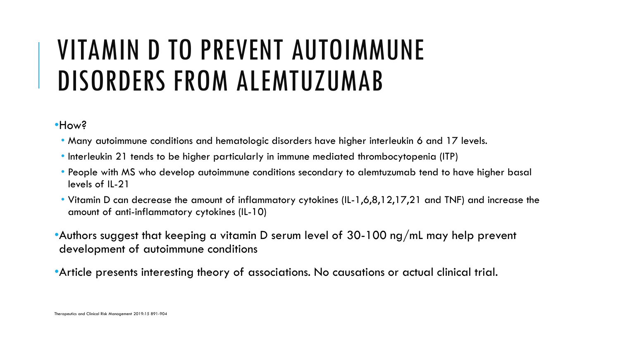# VITAMIN D TO PREVENT AUTOIMMUNE DISORDERS FROM ALEMTUZUMAB

•How?

- Many autoimmune conditions and hematologic disorders have higher interleukin 6 and 17 levels.
- Interleukin 21 tends to be higher particularly in immune mediated thrombocytopenia (ITP)
- People with MS who develop autoimmune conditions secondary to alemtuzumab tend to have higher basal levels of IL-21
- Vitamin D can decrease the amount of inflammatory cytokines (IL-1,6,8,12,17,21 and TNF) and increase the amount of anti-inflammatory cytokines (IL-10)

•Authors suggest that keeping a vitamin D serum level of 30-100 ng/mL may help prevent development of autoimmune conditions

•Article presents interesting theory of associations. No causations or actual clinical trial.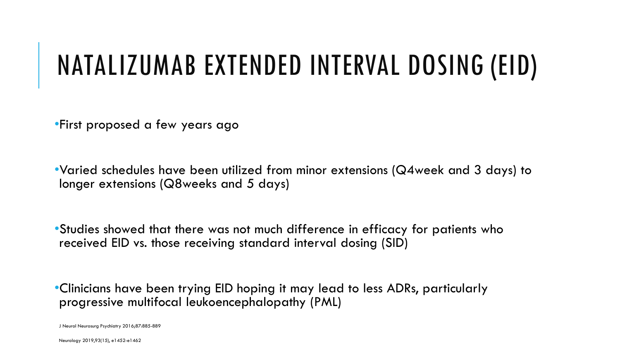# NATALIZUMAB EXTENDED INTERVAL DOSING (EID)

•First proposed a few years ago

•Varied schedules have been utilized from minor extensions (Q4week and 3 days) to longer extensions (Q8weeks and 5 days)

•Studies showed that there was not much difference in efficacy for patients who received EID vs. those receiving standard interval dosing (SID)

•Clinicians have been trying EID hoping it may lead to less ADRs, particularly progressive multifocal leukoencephalopathy (PML)

J Neurol Neurosurg Psychiatry 2016;87:885-889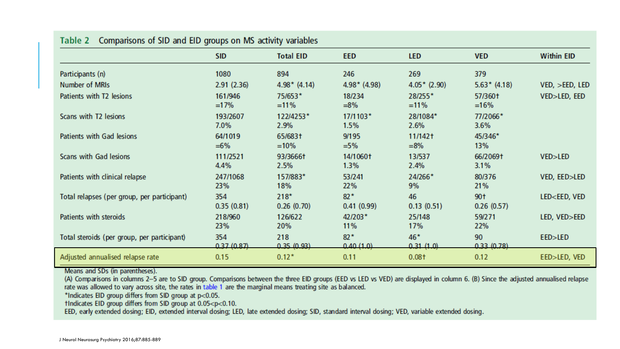|                                             | <b>SID</b>          | <b>Total EID</b>     | <b>EED</b>          | <b>LED</b>                       | <b>VED</b>          | <b>Within EID</b>               |
|---------------------------------------------|---------------------|----------------------|---------------------|----------------------------------|---------------------|---------------------------------|
| Participants (n)                            | 1080                | 894                  | 246                 | 269                              | 379                 |                                 |
| Number of MRIs                              | 2.91(2.36)          | $4.98* (4.14)$       | $4.98*$ (4.98)      | $4.05*$ (2.90)                   | $5.63* (4.18)$      | VED, > EED, LED                 |
| Patients with T2 lesions                    | 161/946<br>$=17%$   | 75/653*<br>$=11%$    | 18/234<br>$= 8\%$   | 28/255*<br>$=11%$                | 57/360†<br>$=16%$   | VED>LED, EED                    |
| Scans with T2 lesions                       | 193/2607<br>$7.0\%$ | 122/4253*<br>2.9%    | 17/1103*<br>1.5%    | 28/1084*<br>2.6%                 | 77/2066*<br>$3.6\%$ |                                 |
| Patients with Gad lesions                   | 64/1019<br>$=6\%$   | 65/683†<br>$=10%$    | 9/195<br>$=5%$      | $11/142$ <sup>+</sup><br>$= 8\%$ | 45/346*<br>13%      |                                 |
| Scans with Gad lesions                      | 111/2521<br>4.4%    | 93/3666†<br>2.5%     | 14/1060†<br>1.3%    | 13/537<br>2.4%                   | 66/2069†<br>3.1%    | VED>LED                         |
| Patients with clinical relapse              | 247/1068<br>23%     | 157/883*<br>18%      | 53/241<br>22%       | 24/266*<br>9%                    | 80/376<br>21%       | VED, EED>LED                    |
| Total relapses (per group, per participant) | 354<br>0.35(0.81)   | $218*$<br>0.26(0.70) | $82*$<br>0.41(0.99) | 46<br>0.13(0.51)                 | 90+<br>0.26(0.57)   | LED <eed, td="" ved<=""></eed,> |
| Patients with steroids                      | 218/960<br>23%      | 126/622<br>20%       | 42/203*<br>11%      | 25/148<br>17%                    | 59/271<br>22%       | LED, VED>EED                    |
| Total steroids (per group, per participant) | 354<br>0.37(0.87)   | 218<br>0.35(0.93)    | $82*$<br>0.40(1.0)  | $46*$<br>0.31(1.0)               | 90<br>0.33(0.78)    | EED>LED                         |
| Adjusted annualised relapse rate            | 0.15                | $0.12*$              | 0.11                | $0.08+$                          | 0.12                | EED>LED, VED                    |

Means and SDs (in parentheses).

(A) Comparisons in columns 2-5 are to SID group. Comparisons between the three EID groups (EED vs LED vs VED) are displayed in column 6. (B) Since the adjusted annualised relapse rate was allowed to vary across site, the rates in table 1 are the marginal means treating site as balanced.

\*Indicates EID group differs from SID group at p<0.05.

tIndicates EID group differs from SID group at 0.05<p<0.10.

EED, early extended dosing; EID, extended interval dosing; LED, late extended dosing; SID, standard interval dosing; VED, variable extended dosing.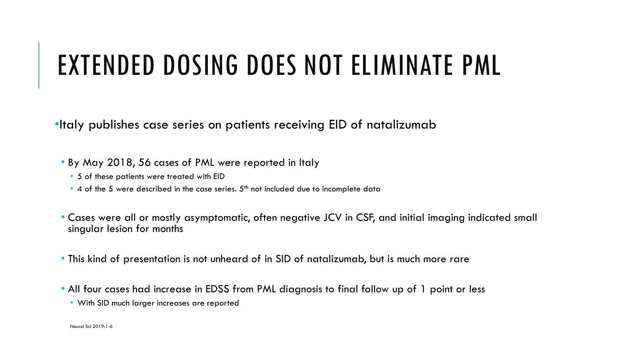## EXTENDED DOSING DOES NOT ELIMINATE PML

•Italy publishes case series on patients receiving EID of natalizumab

• By May 2018, 56 cases of PML were reported in Italy

- 5 of these patients were treated with EID
- $\bullet$  4 of the 5 were described in the case series.  $5^{\text{th}}$  not included due to incomplete data
- Cases were all or mostly asymptomatic, often negative JCV in CSF, and initial imaging indicated small singular lesion for months
- This kind of presentation is not unheard of in SID of natalizumab, but is much more rare
- All four cases had increase in EDSS from PML diagnosis to final follow up of 1 point or less
	- With SID much larger increases are reported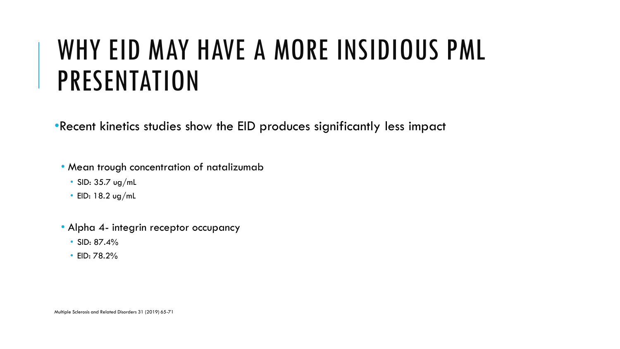# WHY EID MAY HAVE A MORE INSIDIOUS PML PRESENTATION

•Recent kinetics studies show the EID produces significantly less impact

• Mean trough concentration of natalizumab

- SID: 35.7 ug/mL
- EID: 18.2 ug/mL
- Alpha 4- integrin receptor occupancy
	- SID: 87.4%
	- EID: 78.2%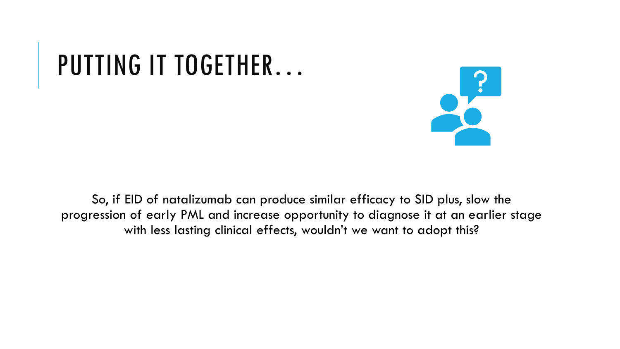### PUTTING IT TOGETHER…



So, if EID of natalizumab can produce similar efficacy to SID plus, slow the progression of early PML and increase opportunity to diagnose it at an earlier stage with less lasting clinical effects, wouldn't we want to adopt this?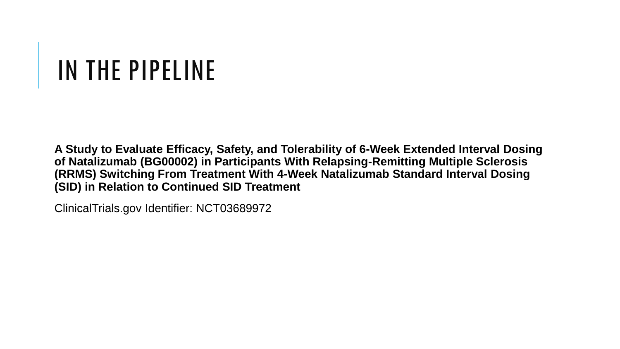# IN THE PIPELINE

**A Study to Evaluate Efficacy, Safety, and Tolerability of 6-Week Extended Interval Dosing of Natalizumab (BG00002) in Participants With Relapsing-Remitting Multiple Sclerosis (RRMS) Switching From Treatment With 4-Week Natalizumab Standard Interval Dosing (SID) in Relation to Continued SID Treatment**

ClinicalTrials.gov Identifier: NCT03689972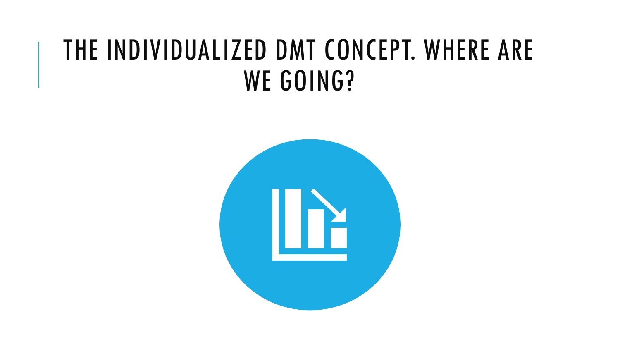### THE INDIVIDUALIZED DMT CONCEPT. WHERE ARE WE GOING?

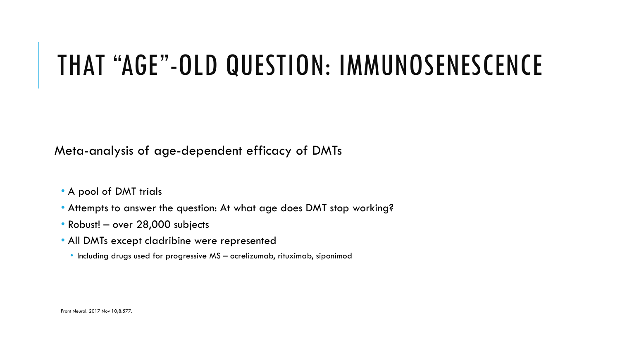### THAT "AGE"-OLD QUESTION: IMMUNOSENESCENCE

Meta-analysis of age-dependent efficacy of DMTs

• A pool of DMT trials

- Attempts to answer the question: At what age does DMT stop working?
- Robust! over 28,000 subjects
- All DMTs except cladribine were represented
	- Including drugs used for progressive MS ocrelizumab, rituximab, siponimod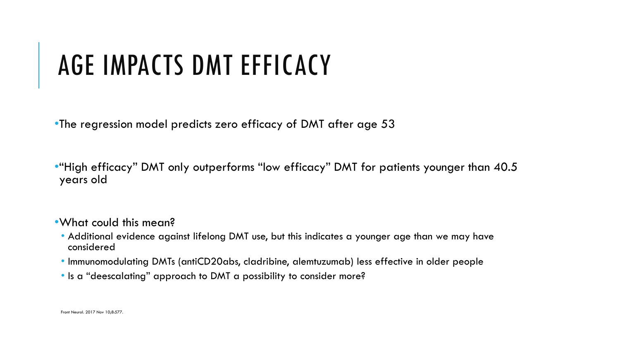# AGE IMPACTS DMT EFFICACY

•The regression model predicts zero efficacy of DMT after age 53

•"High efficacy" DMT only outperforms "low efficacy" DMT for patients younger than 40.5 years old

- •What could this mean?
	- Additional evidence against lifelong DMT use, but this indicates a younger age than we may have considered
	- Immunomodulating DMTs (antiCD20abs, cladribine, alemtuzumab) less effective in older people
	- Is a "deescalating" approach to DMT a possibility to consider more?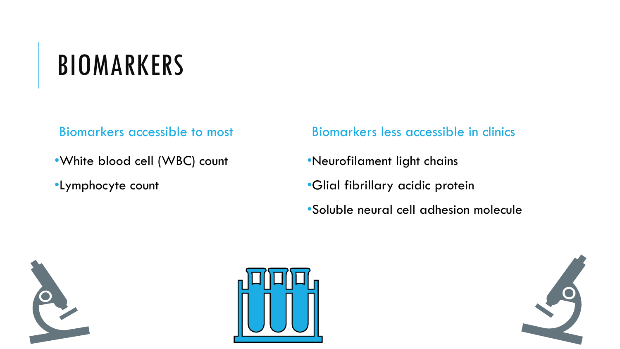# BIOMARKERS

Biomarkers accessible to most

- •White blood cell (WBC) count
- •Lymphocyte count

#### Biomarkers less accessible in clinics

•Neurofilament light chains

- •Glial fibrillary acidic protein
- •Soluble neural cell adhesion molecule





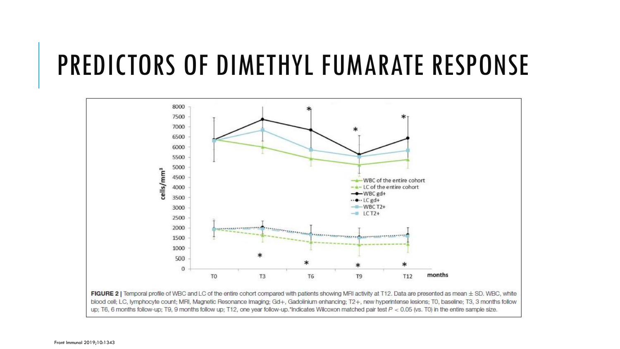### PREDICTORS OF DIMETHYL FUMARATE RESPONSE

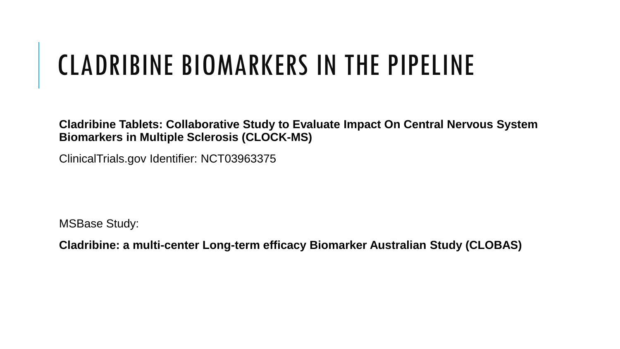# CLADRIBINE BIOMARKERS IN THE PIPELINE

**Cladribine Tablets: Collaborative Study to Evaluate Impact On Central Nervous System Biomarkers in Multiple Sclerosis (CLOCK-MS)**

ClinicalTrials.gov Identifier: NCT03963375

MSBase Study:

**Cladribine: a multi-center Long-term efficacy Biomarker Australian Study (CLOBAS)**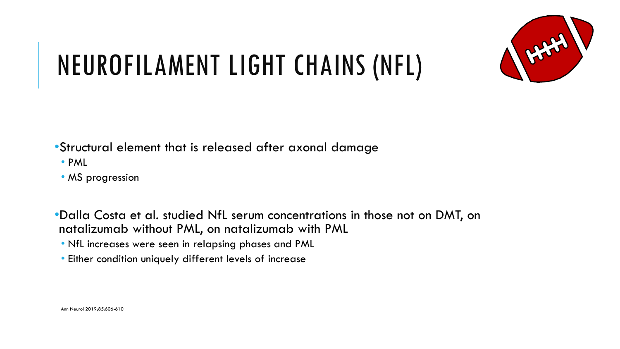

# NEUROFILAMENT LIGHT CHAINS (NFL)

•Structural element that is released after axonal damage

• PML

• MS progression

- •Dalla Costa et al. studied NfL serum concentrations in those not on DMT, on natalizumab without PML, on natalizumab with PML
	- NfL increases were seen in relapsing phases and PML
	- Either condition uniquely different levels of increase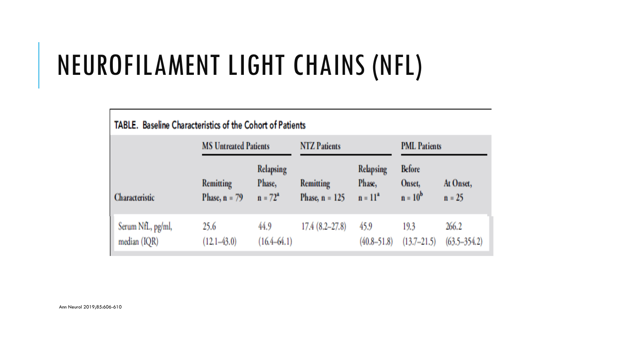# NEUROFILAMENT LIGHT CHAINS (NFL)

| <b>TABLE.</b> Baseline Characteristics of the Cohort of Patients |                              |                                   |                               |                                  |                                      |                           |  |  |  |  |
|------------------------------------------------------------------|------------------------------|-----------------------------------|-------------------------------|----------------------------------|--------------------------------------|---------------------------|--|--|--|--|
|                                                                  | <b>MS Untreated Patients</b> |                                   | <b>NTZ Patients</b>           |                                  | <b>PML</b> Patients                  |                           |  |  |  |  |
| Characteristic                                                   | Remitting<br>Phase, $n = 79$ | Relapsing<br>Phase,<br>$n = 72^a$ | Remitting<br>Phase, $n = 125$ | Relapsing<br>Phase,<br>$n = 11a$ | <b>Before</b><br>Onset,<br>$n = 10b$ | At Onset,<br>$n = 25$     |  |  |  |  |
| Serum NfL, pg/ml,<br>median (IQR)                                | 25.6<br>$(12.1 - 43.0)$      | 44.9<br>$(16.4 - 64.1)$           | $17.4(8.2 - 27.8)$            | 45.9<br>$(40.8 - 51.8)$          | 19.3<br>$(13.7 - 21.5)$              | 266.2<br>$(63.5 - 354.2)$ |  |  |  |  |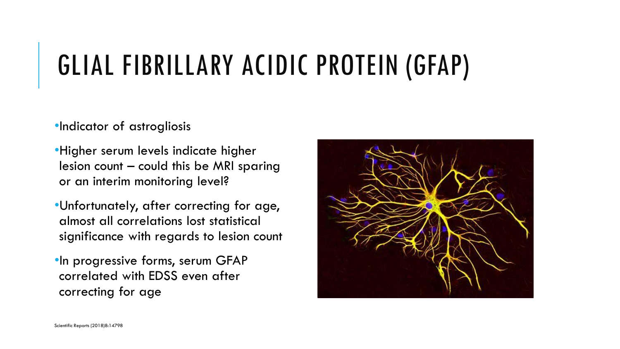# GLIAL FIBRILLARY ACIDIC PROTEIN (GFAP)

•Indicator of astrogliosis

- •Higher serum levels indicate higher lesion count – could this be MRI sparing or an interim monitoring level?
- •Unfortunately, after correcting for age, almost all correlations lost statistical significance with regards to lesion count
- •In progressive forms, serum GFAP correlated with EDSS even after correcting for age

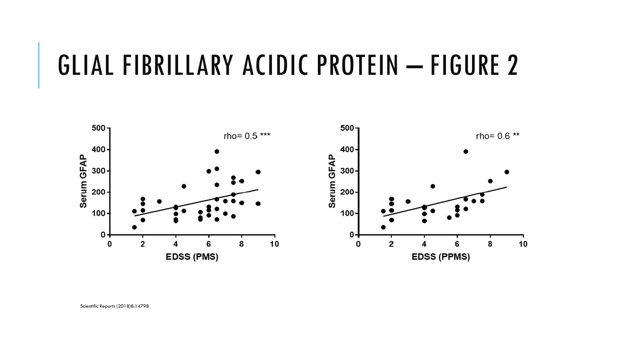### GLIAL FIBRILLARY ACIDIC PROTEIN – FIGURE 2

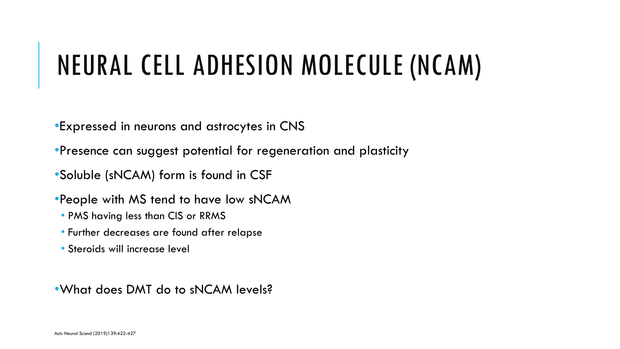# NEURAL CELL ADHESION MOLECULE (NCAM)

•Expressed in neurons and astrocytes in CNS

•Presence can suggest potential for regeneration and plasticity

•Soluble (sNCAM) form is found in CSF

•People with MS tend to have low sNCAM

- PMS having less than CIS or RRMS
- Further decreases are found after relapse
- Steroids will increase level

•What does DMT do to sNCAM levels?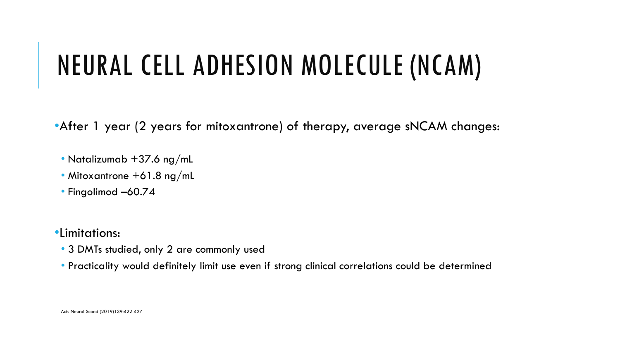# NEURAL CELL ADHESION MOLECULE (NCAM)

•After 1 year (2 years for mitoxantrone) of therapy, average sNCAM changes:

- Natalizumab +37.6 ng/mL
- Mitoxantrone +61.8 ng/mL
- Fingolimod –60.74
- •Limitations:
	- 3 DMTs studied, only 2 are commonly used
	- Practicality would definitely limit use even if strong clinical correlations could be determined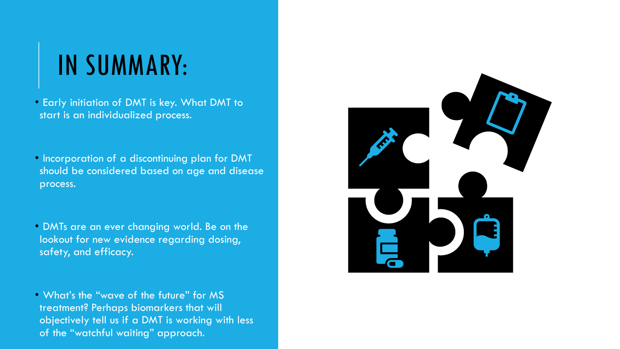## IN SUMMARY:

- Early initiation of DMT is key. What DMT to start is an individualized process.
- Incorporation of a discontinuing plan for DMT should be considered based on age and disease process.
- DMTs are an ever changing world. Be on the lookout for new evidence regarding dosing, safety, and efficacy.
- What's the "wave of the future" for MS treatment? Perhaps biomarkers that will objectively tell us if a DMT is working with less of the "watchful waiting" approach.